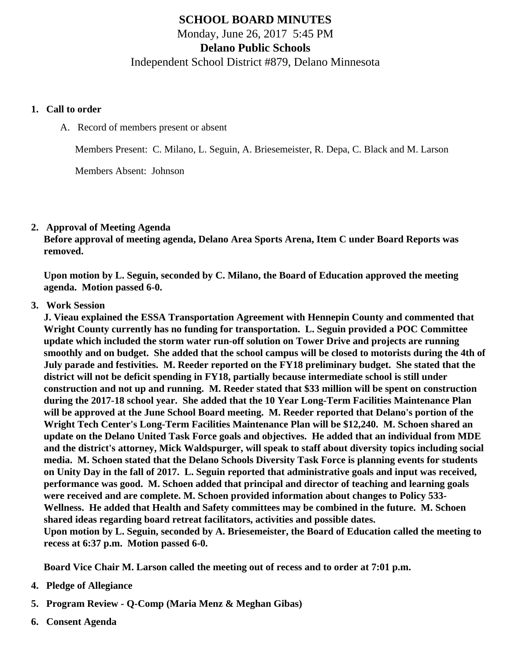# SCHOOL BOARD MINUTES Monday, June 26, 2017 5:45 PM Delano Public Schools Independent School District #879, Delano Minnesota

- 1. Call to order
	- A. Record of members present or absent

Members Present: C. Milano, L. Seguin, A. Briesemeister, R. Depa, C. Black and M. Larson

Members Absent: Johnson

#### 2. Approval of Meeting Agenda

Before approval of meeting agenda, Delano Area Sports Arena, Item C under Board Reports was removed.

Upon motion by L. Seguin, seconded by C. Milano, the Board of Education approved the meeting agenda. Motion passed 6-0.

#### 3. Work Session

J. Vieau explained the ESSA Transportation Agreement with Hennepin County and commented that Wright County currently has no funding for transportation. L. Seguin provided a POC Committee update which included the storm water run-off solution on Tower Drive and projects are running smoothly and on budget. She added that the school campus will be closed to motorists during the 4th of July parade and festivities. M. Reeder reported on the FY18 preliminary budget. She stated that the district will not be deficit spending in FY18, partially because intermediate school is still under construction and not up and running. M. Reeder stated that \$33 million will be spent on construction during the 2017-18 school year. She added that the 10 Year Long-Term Facilities Maintenance Plan will be approved at the June School Board meeting. M. Reeder reported that Delano's portion of the Wright Tech Center's Long-Term Facilities Maintenance Plan will be \$12,240. M. Schoen shared an update on the Delano United Task Force goals and objectives. He added that an individual from MDE and the district's attorney, Mick Waldspurger, will speak to staff about diversity topics including social media. M. Schoen stated that the Delano Schools Diversity Task Force is planning events for students on Unity Day in the fall of 2017. L. Seguin reported that administrative goals and input was received, performance was good. M. Schoen added that principal and director of teaching and learning goals were received and are complete. M. Schoen provided information about changes to Policy 533- Wellness. He added that Health and Safety committees may be combined in the future. M. Schoen shared ideas regarding board retreat facilitators, activities and possible dates. Upon motion by L. Seguin, seconded by A. Briesemeister, the Board of Education called the meeting to recess at 6:37 p.m. Motion passed 6-0.

Board Vice Chair M. Larson called the meeting out of recess and to order at 7:01 p.m.

- 4. Pledge of Allegiance
- 5. Program Review - [Q-Comp](/docs/district/District_Forms/Q_Comp_Program_Review_16-17.pptx.pdf) (Maria Menz & Meghan Gibas)
- 6. Consent Agenda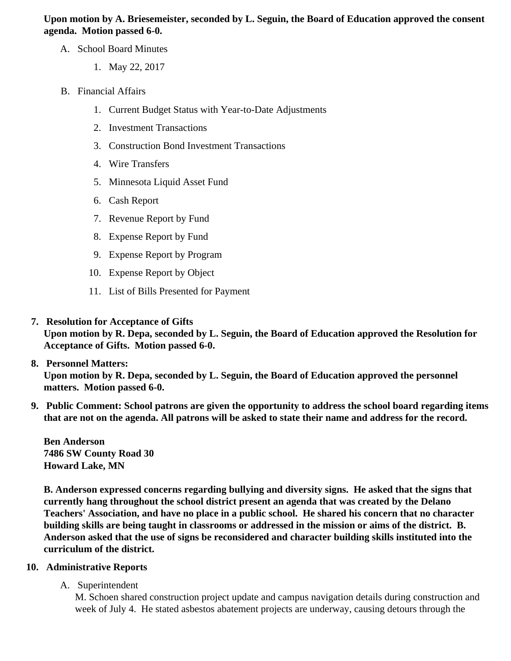Upon motion by A. Briesemeister, seconded by L. Seguin, the Board of Education approved the consent agenda. Motion passed 6-0.

- A. School Board Minutes
	- 1. [May 22, 2017](/docs/district/District_Forms/School_Board_Minutes_5.22.17.pdf)
- B. Financial Affairs
	- 1. [Current Budget Status with Year-to-Date Adjustm](/docs/district/Business_Office/Budget_Report_June_2017.pdf)ents
	- 2. [Investment Transactio](/docs/district/Business_Office/May_2017_Investment_Schedule.pdf)ns
	- 3. [Construction Bond Investment Transacti](/docs/district/Business_Office/Bond_Investment_schedule_May_17.pdf)ons
	- 4. [Wire Transfer](/docs/district/Business_Office/May_2017_Wire_Transfer.pdf)s
	- 5. [Minnesota Liquid Asset Fun](/docs/district/Business_Office/May_2017_Liquid_Asset_Fund.pdf)d
	- 6. [Cash Repo](/docs/district/Business_Office/May_2017_Cash_Report.pdf)rt
	- 7. [Revenue Report by Fu](/docs/district/Business_Office/SCHOOL_BOARD_REPORTS_-_REVENUE_BY_FUND_TOTAL__(Date__6_2017).pdf)nd
	- 8. [Expense Report by Fu](/docs/district/Business_Office/SCHOOL_BOARD_REPORTS_-_EXP_BY_FUND_TOTAL__(Date__6_2017).pdf)nd
	- 9. [Expense Report by Progra](/docs/district/Business_Office/SCHOOL_BOARD_REPORTS_-_EXPENDITURES_BY_PROGRAM__(Date__6_2017).pdf)m
	- 10. [Expense Report by Obje](/docs/district/Business_Office/SCHOOL_BOARD_REPORTS_-_EXPENDITURES_BY_OBJECT__(Date__6_2017).pdf)ct
	- 11. [List of Bills Presented for Payme](/docs/district/Business_Office/June_17_Monthly_Bills_Pd.pdf)nt
- 7. [Resolution for Acceptance of Gifts](/docs/district/Business_Office/Resolution_for_Acceptance_of_Gifts_6.26.17.pdf)

Upon motion by R. Depa, seconded by L. Seguin, the Board of Education approved the Resolution for Acceptance of Gifts. Motion passed 6-0.

- 8. [Personnel Matters:](/docs/district/Business_Office/06.26.17.pdf) Upon motion by R. Depa, seconded by L. Seguin, the Board of Education approved the personnel matters. Motion passed 6-0.
- 9. Public Comment: School patrons are given the opportunity to address the school board regarding items that are not on the agenda. All patrons will be asked to state their name and address for the record.

Ben Anderson 7486 SW County Road 30 Howard Lake, MN

B. Anderson expressed concerns regarding bullying and diversity signs. He asked that the signs that currently hang throughout the school district present an agenda that was created by the Delano Teachers' Association, and have no place in a public school. He shared his concern that no character building skills are being taught in classrooms or addressed in the mission or aims of the district. B. Anderson asked that the use of signs be reconsidered and character building skills instituted into the curriculum of the district.

- 10. Administrative Reports
	- A. Superintendent

M. Schoen shared construction project update and campus navigation details during construction and week of July 4. He stated asbestos abatement projects are underway, causing detours through the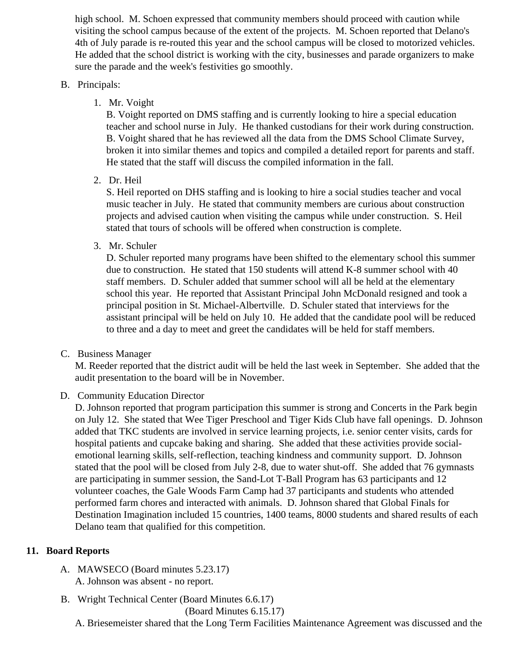high school. M. Schoen expressed that community members should proceed with caution while visiting the school campus because of the extent of the projects. M. Schoen reported that Delano's 4th of July parade is re-routed this year and the school campus will be closed to motorized vehicles. He added that the school district is working with the city, businesses and parade organizers to mak sure the parade and the week's festivities go smoothly.

## B. Principals:

1. Mr. Voight

B. Voight reported on DMS staffing and is currently looking to hire a special education teacher and school nurse in July. He thanked custodians for their work during construction. B. Voight shared that he has reviewed all the data from the DMS School Climate Survey, broken it into similar themes and topics and compiled a detailed report for parents and staff. He stated that the staff will discuss the compiled information in the fall.

## 2. Dr. Heil

S. Heil reported on DHS staffing and is looking to hire a social studies teacher and vocal music teacher in July. He stated that community members are curious about construction projects and advised caution when visiting the campus while under construction. S. Heil stated that tours of schools will be offered when construction is complete.

3. Mr. Schuler

D. Schuler reported many programs have been shifted to the elementary school this summe due to construction. He stated that 150 students will attend K-8 summer school with 40 staff members. D. Schuler added that summer school will all be held at the elementary school this year. He reported that Assistant Principal John McDonald resigned and took a principal position in St. Michael-Albertville. D. Schuler stated that interviews for the assistant principal will be held on July 10. He added that the candidate pool will be reduced to three and a day to meet and greet the candidates will be held for staff members.

C. Business Manager

M. Reeder reported that the district audit will be held the last week in September. She added that the audit presentation to the board will be in November.

D. Community Education Director

D. Johnson reported that program participation this summer is strong and Concerts in the Park begin on July 12. She stated that Wee Tiger Preschool and Tiger Kids Club have fall openings. D. John added that TKC students are involved in service learning projects, i.e. senior center visits, cards for hospital patients and cupcake baking and sharing. She added that these activities provide socialemotional learning skills, self-reflection, teaching kindness and community support. D. Johnson stated that the pool will be closed from July 2-8, due to water shut-off. She added that 76 gymnast are participating in summer session, the Sand-Lot T-Ball Program has 63 participants and 12 volunteer coaches, the Gale Woods Farm Camp had 37 participants and students who attended performed farm chores and interacted with animals. D. Johnson shared that Global Finals for Destination Imagination included 15 countries, 1400 teams, 8000 students and shared results of ea Delano team that qualified for this competition.

## 11. Board Reports

- A. MAWSECO Board minutes 5.23.17 A. Johnson was absent - no report.
- B. Wright Technical Center Board Minutes 6.6.1[\)](/docs/district/District_Forms/WTC_Minutes_6.6.17.pdf)7

[Board Minutes 6.15.1](/docs/district/District_Forms/WTC_Minutes_6.15.17.pdf)7

A. Briesemeister shared that the Long Term Facilities Maintenance Agreement was discussed and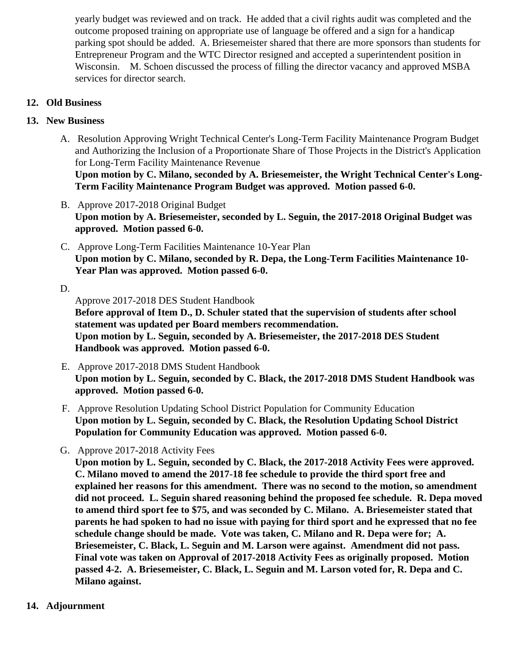yearly budget was reviewed and on track. He added that a civil rights audit was completed and the outcome proposed training on appropriate use of language be offered and a sign for a handicap parking spot should be added. A. Briesemeister shared that there are more sponsors than student Entrepreneur Program and the WTC Director resigned and accepted a superintendent position in Wisconsin. M. Schoen discussed the process of filling the director vacancy and approved MSBA services for director search.

- 12. Old Business
- 13. New Business
	- A. [Resolution](/docs/district/Business_Office/WTC_LTFM_Resolution_and_Attachments.pdf) Approving Wright Technical Center's Long-Term Facility Maintenance Program Budget and Authorizing the Inclusion of a Proportionate Share of Those Projects in the District's Applicatio for Long-Term Facility Maintenance Revenue Upon motion by C. Milano, seconded by A. Briesemeister, the Wright Technical Center's Long-Term Facility Maintenance Program Budget was approved. Motion passed 6-0.
	- B. [Approve 2017-2018 Original Budg](/docs/district/Business_Office/FY18_Budget_Report_-_Original.pdf)et Upon motion by A. Briesemeister, seconded by L. Seguin, the 2017-2018 Original Budget was approved. Motion passed 6-0.
	- C. [Approve Long-Term Facilities Maintenance 10-Year P](/docs/district/Business_Office/LTFM.pdf)lan Upon motion by C. Milano, seconded by R. Depa, the Long-Term Facilities Maintenance 10- Year Plan was approved. Motion passed 6-0.

D.

Approve 2017-2018 DES Student Handbook Before approval of Item D., D. Schuler stated that the supervision of students after school statement was updated per Board members recommendation. Upon motion by L. Seguin, seconded by A. Briesemeister, the 2017-2018 DES Student Handbook was approved. Motion passed 6-0.

- E. Approve 2017-2018 DMS Student Handbook Upon motion by L. Seguin, seconded by C. Black, the 2017-2018 DMS Student Handbook was approved. Motion passed 6-0.
- F. Approve [Resolution](/docs/district/District_Forms/Community_Education_School_District_Population_Resolution_6.26.17.pdf ) Updating School District Population for Community Education Upon motion by L. Seguin, seconded by C. Black, the Resolution Updating School District Population for Community Education was approved. Motion passed 6-0.
- G. Approve 2017-2018 Activit[y Fees](/docs/district/District_Forms/ActivityAthletic_Fee_Change-_2017-18_(Pending_Approval).pdf)

Upon motion by L. Seguin, seconded by C. Black, the 2017-2018 Activity Fees were approved. C. Milano moved to amend the 2017-18 fee schedule to provide the third sport free and explained her reasons for this amendment. There was no second to the motion, so amendment did not proceed. L. Seguin shared reasoning behind the proposed fee schedule. R. Depa moved to amend third sport fee to \$75, and was seconded by C. Milano. A. Briesemeister stated that parents he had spoken to had no issue with paying for third sport and he expressed that no fee schedule change should be made. Vote was taken, C. Milano and R. Depa were for; A. Briesemeister, C. Black, L. Seguin and M. Larson were against. Amendment did not pass. Final vote was taken on Approval of 2017-2018 Activity Fees as originally proposed. Motion passed 4-2. A. Briesemeister, C. Black, L. Seguin and M. Larson voted for, R. Depa and C. Milano against.

14. Adjournment